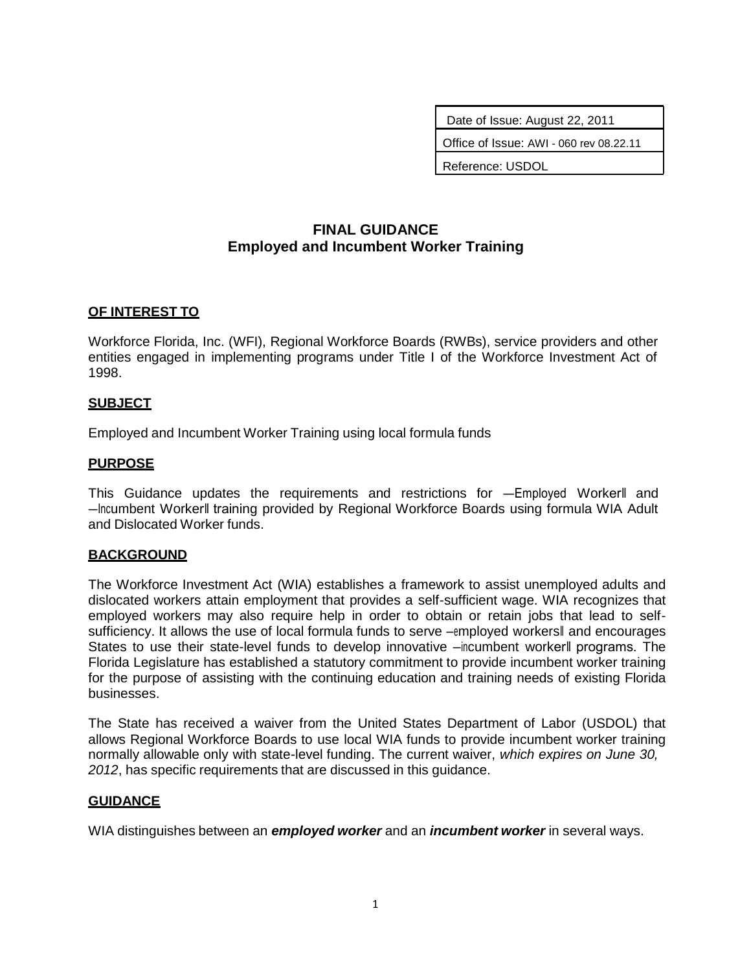Date of Issue: August 22, 2011 Office of Issue: AWI - 060 rev 08.22.11

Reference: USDOL

# **FINAL GUIDANCE Employed and Incumbent Worker Training**

### **OF INTEREST TO**

Workforce Florida, Inc. (WFI), Regional Workforce Boards (RWBs), service providers and other entities engaged in implementing programs under Title I of the Workforce Investment Act of 1998.

### **SUBJECT**

Employed and Incumbent Worker Training using local formula funds

### **PURPOSE**

This Guidance updates the requirements and restrictions for —Employed Workerll and ―Incumbent Worker‖ training provided by Regional Workforce Boards using formula WIA Adult and Dislocated Worker funds.

#### **BACKGROUND**

The Workforce Investment Act (WIA) establishes a framework to assist unemployed adults and dislocated workers attain employment that provides a self-sufficient wage. WIA recognizes that employed workers may also require help in order to obtain or retain jobs that lead to selfsufficiency. It allows the use of local formula funds to serve –employed workersl and encourages States to use their state-level funds to develop innovative —incumbent workerll programs. The Florida Legislature has established a statutory commitment to provide incumbent worker training for the purpose of assisting with the continuing education and training needs of existing Florida businesses.

The State has received a waiver from the United States Department of Labor (USDOL) that allows Regional Workforce Boards to use local WIA funds to provide incumbent worker training normally allowable only with state-level funding. The current waiver, *which expires on June 30, 2012*, has specific requirements that are discussed in this guidance.

#### **GUIDANCE**

WIA distinguishes between an *employed worker* and an *incumbent worker* in several ways.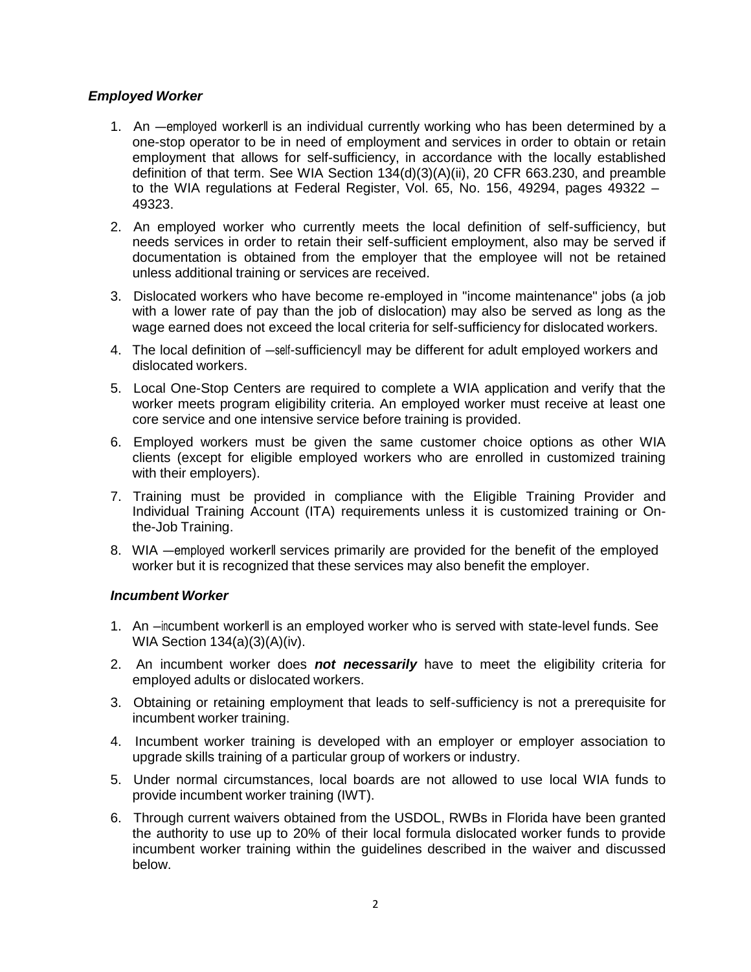# *Employed Worker*

- 1. An ―employed worker‖ is an individual currently working who has been determined by a one-stop operator to be in need of employment and services in order to obtain or retain employment that allows for self-sufficiency, in accordance with the locally established definition of that term. See WIA Section 134(d)(3)(A)(ii), 20 CFR 663.230, and preamble to the WIA regulations at Federal Register, Vol. 65, No. 156, 49294, pages 49322 – 49323.
- 2. An employed worker who currently meets the local definition of self-sufficiency, but needs services in order to retain their self-sufficient employment, also may be served if documentation is obtained from the employer that the employee will not be retained unless additional training or services are received.
- 3. Dislocated workers who have become re-employed in "income maintenance" jobs (a job with a lower rate of pay than the job of dislocation) may also be served as long as the wage earned does not exceed the local criteria for self-sufficiency for dislocated workers.
- 4. The local definition of —self-sufficiencyll may be different for adult employed workers and dislocated workers.
- 5. Local One-Stop Centers are required to complete a WIA application and verify that the worker meets program eligibility criteria. An employed worker must receive at least one core service and one intensive service before training is provided.
- 6. Employed workers must be given the same customer choice options as other WIA clients (except for eligible employed workers who are enrolled in customized training with their employers).
- 7. Training must be provided in compliance with the Eligible Training Provider and Individual Training Account (ITA) requirements unless it is customized training or Onthe-Job Training.
- 8. WIA ―employed worker‖ services primarily are provided for the benefit of the employed worker but it is recognized that these services may also benefit the employer.

## *Incumbent Worker*

- 1. An -incumbent workerll is an employed worker who is served with state-level funds. See WIA Section 134(a)(3)(A)(iv).
- 2. An incumbent worker does *not necessarily* have to meet the eligibility criteria for employed adults or dislocated workers.
- 3. Obtaining or retaining employment that leads to self-sufficiency is not a prerequisite for incumbent worker training.
- 4. Incumbent worker training is developed with an employer or employer association to upgrade skills training of a particular group of workers or industry.
- 5. Under normal circumstances, local boards are not allowed to use local WIA funds to provide incumbent worker training (IWT).
- 6. Through current waivers obtained from the USDOL, RWBs in Florida have been granted the authority to use up to 20% of their local formula dislocated worker funds to provide incumbent worker training within the guidelines described in the waiver and discussed below.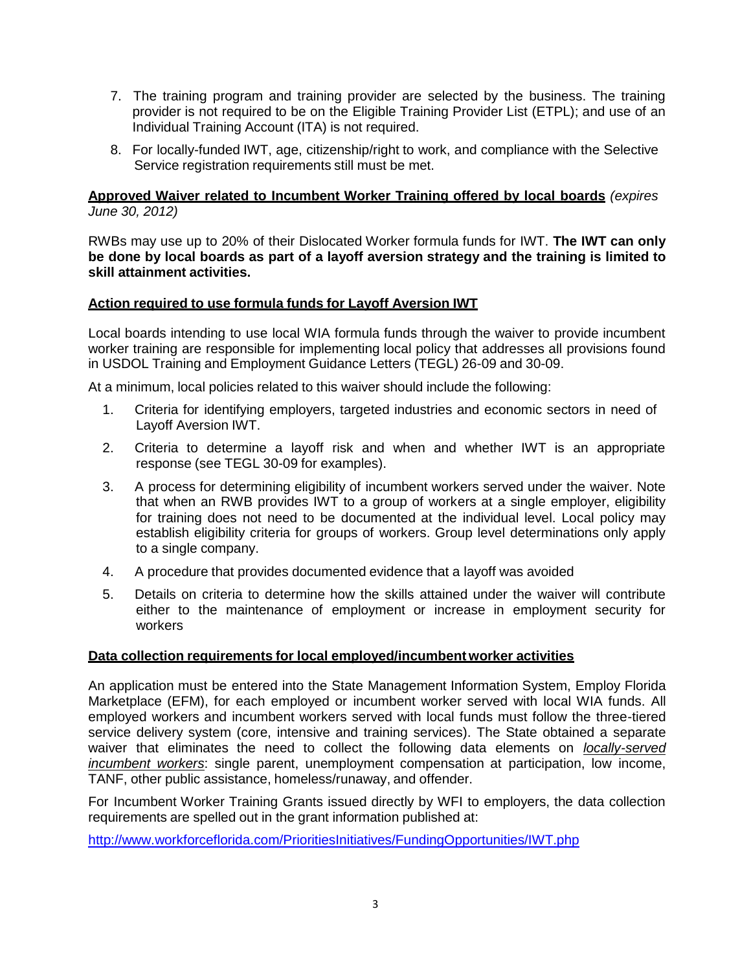- 7. The training program and training provider are selected by the business. The training provider is not required to be on the Eligible Training Provider List (ETPL); and use of an Individual Training Account (ITA) is not required.
- 8. For locally-funded IWT, age, citizenship/right to work, and compliance with the Selective Service registration requirements still must be met.

## **Approved Waiver related to Incumbent Worker Training offered by local boards** *(expires June 30, 2012)*

RWBs may use up to 20% of their Dislocated Worker formula funds for IWT. **The IWT can only be done by local boards as part of a layoff aversion strategy and the training is limited to skill attainment activities.**

## **Action required to use formula funds for Layoff Aversion IWT**

Local boards intending to use local WIA formula funds through the waiver to provide incumbent worker training are responsible for implementing local policy that addresses all provisions found in USDOL Training and Employment Guidance Letters (TEGL) 26-09 and 30-09.

At a minimum, local policies related to this waiver should include the following:

- 1. Criteria for identifying employers, targeted industries and economic sectors in need of Layoff Aversion IWT.
- 2. Criteria to determine a layoff risk and when and whether IWT is an appropriate response (see TEGL 30-09 for examples).
- 3. A process for determining eligibility of incumbent workers served under the waiver. Note that when an RWB provides IWT to a group of workers at a single employer, eligibility for training does not need to be documented at the individual level. Local policy may establish eligibility criteria for groups of workers. Group level determinations only apply to a single company.
- 4. A procedure that provides documented evidence that a layoff was avoided
- 5. Details on criteria to determine how the skills attained under the waiver will contribute either to the maintenance of employment or increase in employment security for workers

#### **Data collection requirements for local employed/incumbentworker activities**

An application must be entered into the State Management Information System, Employ Florida Marketplace (EFM), for each employed or incumbent worker served with local WIA funds. All employed workers and incumbent workers served with local funds must follow the three-tiered service delivery system (core, intensive and training services). The State obtained a separate waiver that eliminates the need to collect the following data elements on *locally-served incumbent workers*: single parent, unemployment compensation at participation, low income, TANF, other public assistance, homeless/runaway, and offender.

For Incumbent Worker Training Grants issued directly by WFI to employers, the data collection requirements are spelled out in the grant information published at:

<http://www.workforceflorida.com/PrioritiesInitiatives/FundingOpportunities/IWT.php>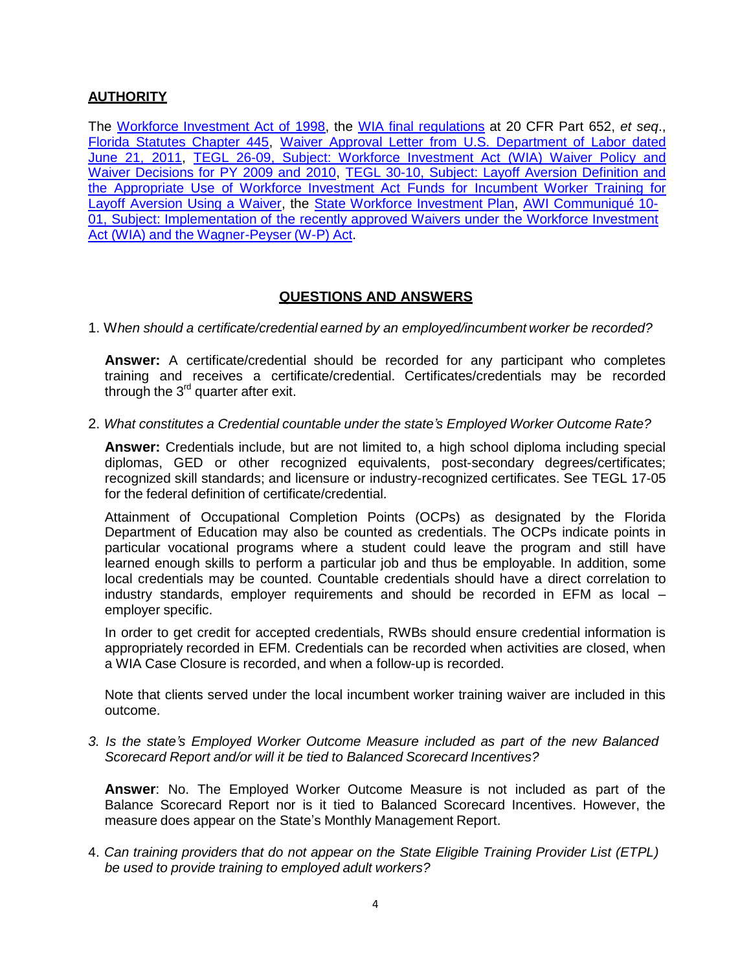# **AUTHORITY**

The Workforce [Investment](http://www.doleta.gov/usworkforce/wia/wialaw.pdf) Act of 1998, the WIA final [regulations](http://www.doleta.gov/seniors/other_docs/finalrule.pdf) at 20 CFR Part 652, *et seq*., Florida Statutes Chapter 445, Waiver Approval Letter from U.S. [Department](http://www.floridajobs.org/PDG/communique/Waiver_PY11.pdf) of Labor dated June 21, [2011,](http://www.floridajobs.org/PDG/communique/Waiver_PY11.pdf) TEGL 26-09, Subject: Workforce [Investment](http://wdr.doleta.gov/directives/corr_doc.cfm?DOCN=2898) Act (WIA) Waiver Policy and Waiver [Decisions](http://wdr.doleta.gov/directives/corr_doc.cfm?DOCN=2898) for PY 2009 and 2010, TEGL 30-10, Subject: Layoff Aversion [Definition](http://wdr.doleta.gov/directives/corr_doc.cfm?DOCN=2910) and the Appropriate Use of [Workforce Investment](http://wdr.doleta.gov/directives/corr_doc.cfm?DOCN=2910) Act Funds for Incumbent Worker Training for Layoff [Aversion](http://wdr.doleta.gov/directives/corr_doc.cfm?DOCN=2910) Using a Waiver, the State Workforce [Investment](http://www.workforceflorida.com/Publications/StatePlan.php) Plan, AWI [Communiqué](http://www.floridajobs.org/PDG/communique/10-01WaiversfromUSDOLRevised.pdf) 10- 01, Subject: [Implementation](http://www.floridajobs.org/PDG/communique/10-01WaiversfromUSDOLRevised.pdf) of the recently approved Waivers under the Workforce Investment Act (WIA) and the [Wagner-Peyser](http://www.floridajobs.org/PDG/communique/10-01WaiversfromUSDOLRevised.pdf) (W-P) Act.

# **QUESTIONS AND ANSWERS**

1. W*hen should a certificate/credential earned by an employed/incumbent worker be recorded?*

**Answer:** A certificate/credential should be recorded for any participant who completes training and receives a certificate/credential. Certificates/credentials may be recorded through the  $3<sup>rd</sup>$  quarter after exit.

2. *What constitutes a Credential countable under the state's Employed Worker Outcome Rate?*

**Answer:** Credentials include, but are not limited to, a high school diploma including special diplomas, GED or other recognized equivalents, post-secondary degrees/certificates; recognized skill standards; and licensure or industry-recognized certificates. See TEGL 17-05 for the federal definition of certificate/credential.

Attainment of Occupational Completion Points (OCPs) as designated by the Florida Department of Education may also be counted as credentials. The OCPs indicate points in particular vocational programs where a student could leave the program and still have learned enough skills to perform a particular job and thus be employable. In addition, some local credentials may be counted. Countable credentials should have a direct correlation to industry standards, employer requirements and should be recorded in EFM as local – employer specific.

In order to get credit for accepted credentials, RWBs should ensure credential information is appropriately recorded in EFM. Credentials can be recorded when activities are closed, when a WIA Case Closure is recorded, and when a follow-up is recorded.

Note that clients served under the local incumbent worker training waiver are included in this outcome.

*3. Is the state's Employed Worker Outcome Measure included as part of the new Balanced Scorecard Report and/or will it be tied to Balanced Scorecard Incentives?*

**Answer**: No. The Employed Worker Outcome Measure is not included as part of the Balance Scorecard Report nor is it tied to Balanced Scorecard Incentives. However, the measure does appear on the State's Monthly Management Report.

4. *Can training providers that do not appear on the State Eligible Training Provider List (ETPL) be used to provide training to employed adult workers?*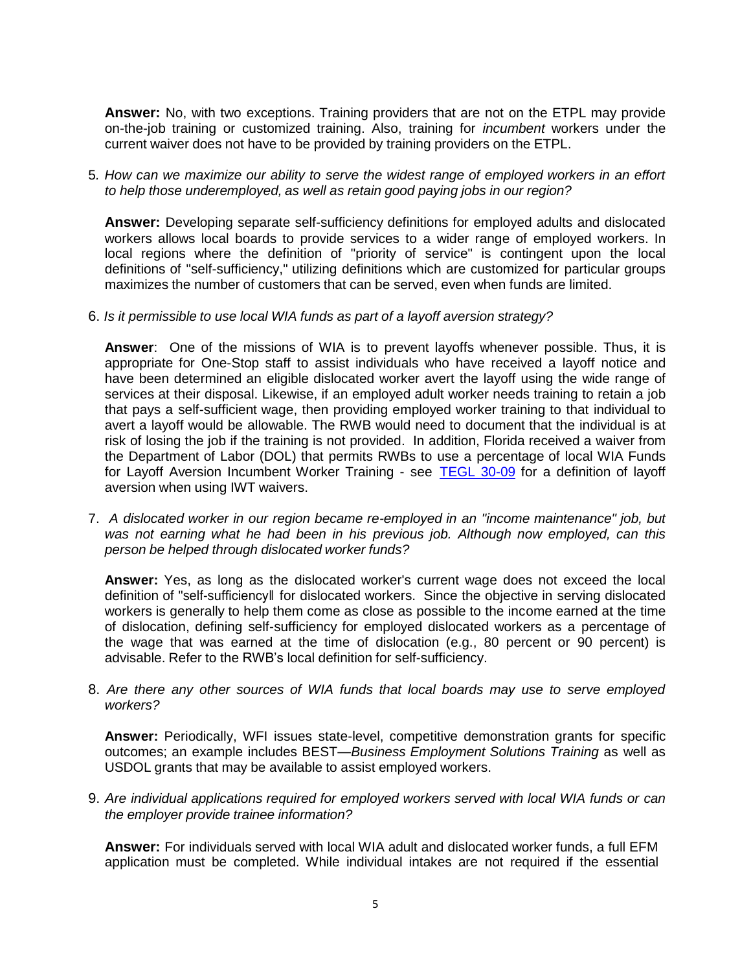**Answer:** No, with two exceptions. Training providers that are not on the ETPL may provide on-the-job training or customized training. Also, training for *incumbent* workers under the current waiver does not have to be provided by training providers on the ETPL.

5*. How can we maximize our ability to serve the widest range of employed workers in an effort to help those underemployed, as well as retain good paying jobs in our region?*

**Answer:** Developing separate self-sufficiency definitions for employed adults and dislocated workers allows local boards to provide services to a wider range of employed workers. In local regions where the definition of "priority of service" is contingent upon the local definitions of "self-sufficiency," utilizing definitions which are customized for particular groups maximizes the number of customers that can be served, even when funds are limited.

6. *Is it permissible to use local WIA funds as part of a layoff aversion strategy?*

**Answer**: One of the missions of WIA is to prevent layoffs whenever possible. Thus, it is appropriate for One-Stop staff to assist individuals who have received a layoff notice and have been determined an eligible dislocated worker avert the layoff using the wide range of services at their disposal. Likewise, if an employed adult worker needs training to retain a job that pays a self-sufficient wage, then providing employed worker training to that individual to avert a layoff would be allowable. The RWB would need to document that the individual is at risk of losing the job if the training is not provided. In addition, Florida received a waiver from the Department of Labor (DOL) that permits RWBs to use a percentage of local WIA Funds for Layoff Aversion Incumbent Worker Training - see [TEGL](http://wdr.doleta.gov/directives/corr_doc.cfm?docn=2910) 30-09 for a definition of layoff aversion when using IWT waivers.

7. *A dislocated worker in our region became re-employed in an "income maintenance" job, but was not earning what he had been in his previous job. Although now employed, can this person be helped through dislocated worker funds?*

**Answer:** Yes, as long as the dislocated worker's current wage does not exceed the local definition of "self-sufficiency‖ for dislocated workers. Since the objective in serving dislocated workers is generally to help them come as close as possible to the income earned at the time of dislocation, defining self-sufficiency for employed dislocated workers as a percentage of the wage that was earned at the time of dislocation (e.g., 80 percent or 90 percent) is advisable. Refer to the RWB's local definition for self-sufficiency.

8. *Are there any other sources of WIA funds that local boards may use to serve employed workers?*

**Answer:** Periodically, WFI issues state-level, competitive demonstration grants for specific outcomes; an example includes BEST—*Business Employment Solutions Training* as well as USDOL grants that may be available to assist employed workers.

9. *Are individual applications required for employed workers served with local WIA funds or can the employer provide trainee information?*

**Answer:** For individuals served with local WIA adult and dislocated worker funds, a full EFM application must be completed. While individual intakes are not required if the essential